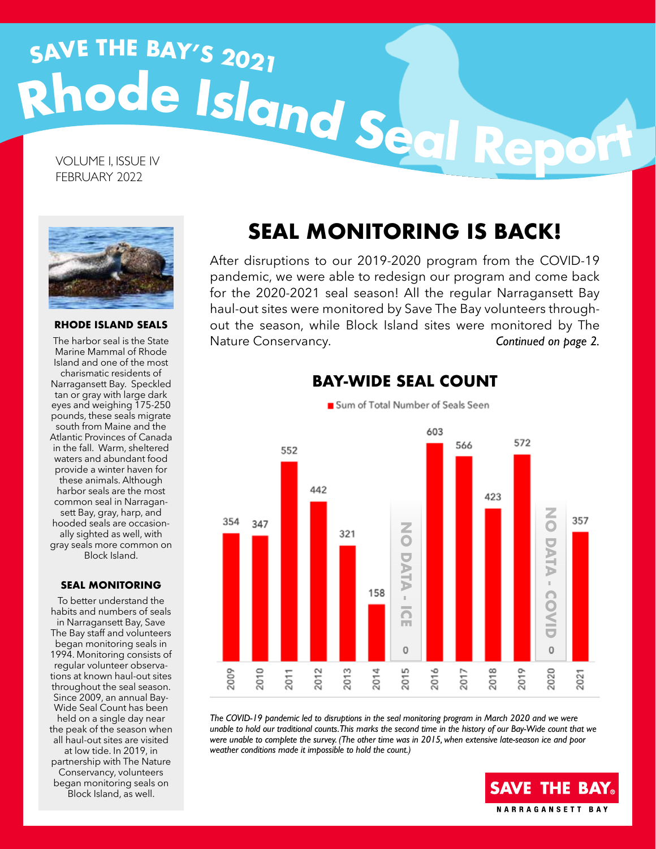# **<sup>R</sup>hod<sup>e</sup> <sup>I</sup>slan<sup>d</sup> <sup>S</sup>ea<sup>l</sup> <sup>R</sup>epor<sup>t</sup> <sup>S</sup>AV<sup>E</sup> <sup>T</sup>H<sup>E</sup> <sup>B</sup>AY'<sup>S</sup> <sup>2</sup>02<sup>1</sup>**

VOLUME I, ISSUE IV FEBRUARY 2022



**RHODE ISLAND SEALS**

The harbor seal is the State Marine Mammal of Rhode Island and one of the most charismatic residents of Narragansett Bay. Speckled tan or gray with large dark eyes and weighing 175-250 pounds, these seals migrate south from Maine and the Atlantic Provinces of Canada in the fall. Warm, sheltered waters and abundant food provide a winter haven for these animals. Although harbor seals are the most common seal in Narragansett Bay, gray, harp, and hooded seals are occasionally sighted as well, with gray seals more common on Block Island.

### **SEAL MONITORING**

To better understand the habits and numbers of seals in Narragansett Bay, Save The Bay staff and volunteers began monitoring seals in 1994. Monitoring consists of regular volunteer observations at known haul-out sites throughout the seal season. Since 2009, an annual Bay-Wide Seal Count has been held on a single day near the peak of the season when all haul-out sites are visited at low tide. In 2019, in partnership with The Nature Conservancy, volunteers began monitoring seals on Block Island, as well.

# **SEAL MONITORING IS BACK!**

After disruptions to our 2019-2020 program from the COVID-19 pandemic, we were able to redesign our program and come back for the 2020-2021 seal season! All the regular Narragansett Bay haul-out sites were monitored by Save The Bay volunteers throughout the season, while Block Island sites were monitored by The Nature Conservancy. *Continued on page 2.*



*The COVID-19 pandemic led to disruptions in the seal monitoring program in March 2020 and we were unable to hold our traditional counts. This marks the second time in the history of our Bay-Wide count that we were unable to complete the survey. (The other time was in 2015, when extensive late-season ice and poor weather conditions made it impossible to hold the count.)*

# **SAVE THE BAY® NARRAGANSETT BAY**

# **BAY-WIDE SEAL COUNT**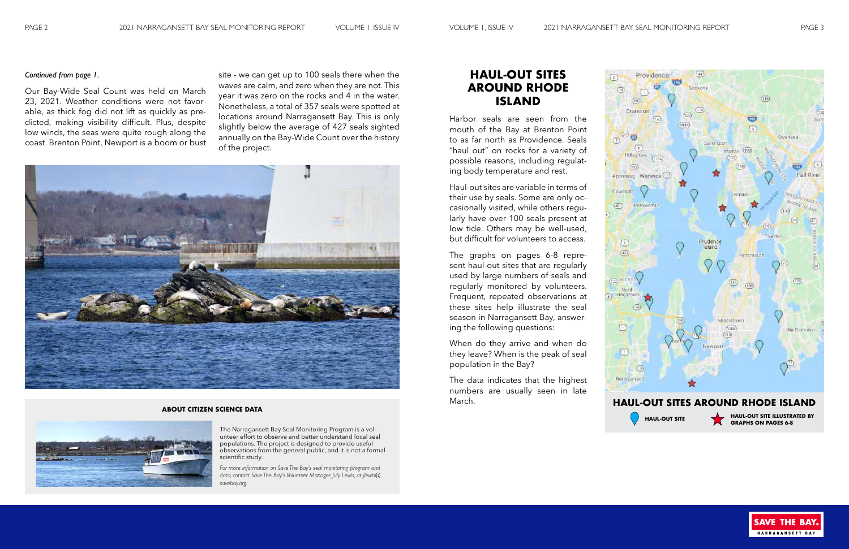ÈG.  $(\overline{1})$ 

(30)

## *Continued from page 1.*

Our Bay-Wide Seal Count was held on March 23, 2021. Weather conditions were not favorable, as thick fog did not lift as quickly as predicted, making visibility difficult. Plus, despite low winds, the seas were quite rough along the coast. Brenton Point, Newport is a boom or bust

site - we can get up to 100 seals there when the waves are calm, and zero when they are not. This year it was zero on the rocks and 4 in the water. Nonetheless, a total of 357 seals were spotted at locations around Narragansett Bay. This is only slightly below the average of 427 seals sighted annually on the Bay-Wide Count over the history of the project.



# **HAUL-OUT SITES AROUND RHODE ISLAND**

Harbor seals are seen from the mouth of the Bay at Brenton Point to as far north as Providence. Seals "haul out" on rocks for a variety of possible reasons, including regulating body temperature and rest.

Haul-out sites are variable in terms of their use by seals. Some are only occasionally visited, while others regularly have over 100 seals present at low tide. Others may be well-used, but difficult for volunteers to access.

The graphs on pages 6-8 represent haul-out sites that are regularly used by large numbers of seals and regularly monitored by volunteers. Frequent, repeated observations at these sites help illustrate the seal season in Narragansett Bay, answering the following questions:

When do they arrive and when do they leave? When is the peak of seal population in the Bay?

The data indicates that the highest numbers are usually seen in late March.



**GRAPHS ON PAGES 6-8**



#### **ABOUT CITIZEN SCIENCE DATA**



The Narragansett Bay Seal Monitoring Program is a volunteer effort to observe and better understand local seal populations. The project is designed to provide useful observations from the general public, and it is not a formal scientific study.

*For more information on Save The Bay's seal monitoring program and data, contact Save The Bay's Volunteer Manager, July Lewis, at jlewis@ savebay.org.*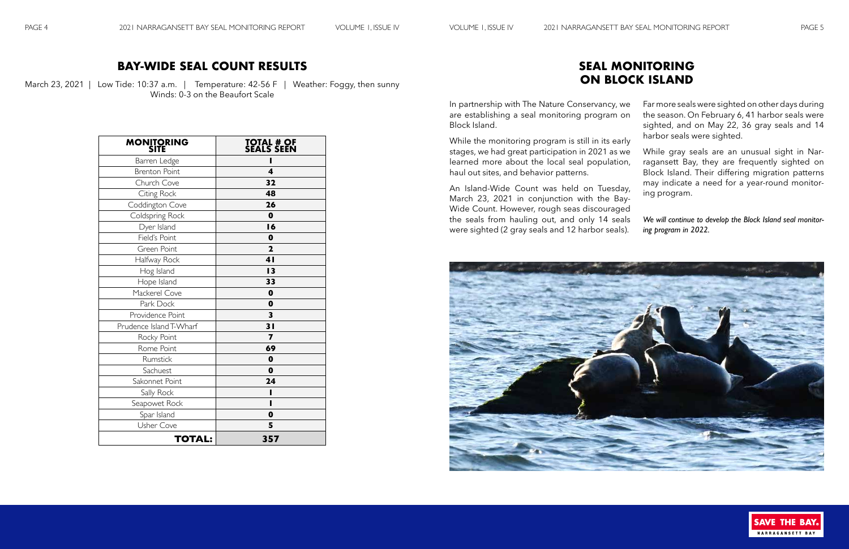March 23, 2021 | Low Tide: 10:37 a.m. | Temperature: 42-56 F | Weather: Foggy, then sunny Winds: 0-3 on the Beaufort Scale

# **BAY-WIDE SEAL COUNT RESULTS**

# **SEAL MONITORING ON BLOCK ISLAND**

In partnership with The Nature Conservancy, we are establishing a seal monitoring program on Block Island.

While the monitoring program is still in its early stages, we had great participation in 2021 as we learned more about the local seal population, haul out sites, and behavior patterns.

An Island-Wide Count was held on Tuesday, March 23, 2021 in conjunction with the Bay-Wide Count. However, rough seas discouraged the seals from hauling out, and only 14 seals were sighted (2 gray seals and 12 harbor seals).



- Far more seals were sighted on other days during the season. On February 6, 41 harbor seals were sighted, and on May 22, 36 gray seals and 14 harbor seals were sighted.
- While gray seals are an unusual sight in Narragansett Bay, they are frequently sighted on Block Island. Their differing migration patterns may indicate a need for a year-round monitoring program.
- 
- *We will continue to develop the Block Island seal monitor-*
- *ing program in 2022.*



| <b>MONITORING</b><br>SITE | <b>TOTAL # OF<br/>SEALS SEEN</b> |
|---------------------------|----------------------------------|
| Barren Ledge              |                                  |
| <b>Brenton Point</b>      | $\overline{\mathbf{4}}$          |
| Church Cove               | 32                               |
| Citing Rock               | 48                               |
| Coddington Cove           | 26                               |
| Coldspring Rock           | $\mathbf 0$                      |
| Dyer Island               | 16                               |
| Field's Point             | $\mathbf 0$                      |
| Green Point               | $\overline{\mathbf{2}}$          |
| Halfway Rock              | 4 <sub>l</sub>                   |
| Hog Island                | 13                               |
| Hope Island               | 33                               |
| Mackerel Cove             | $\mathbf 0$                      |
| Park Dock                 | $\mathbf 0$                      |
| Providence Point          | 3                                |
| Prudence Island T-Wharf   | 31                               |
| Rocky Point               | 7                                |
| Rome Point                | 69                               |
| Rumstick                  | $\mathbf 0$                      |
| Sachuest                  | 0                                |
| Sakonnet Point            | 24                               |
| Sally Rock                |                                  |
| Seapowet Rock             | ı                                |
| Spar Island               | 0                                |
| <b>Usher Cove</b>         | 5                                |
| <b>TOTAL:</b>             | 357                              |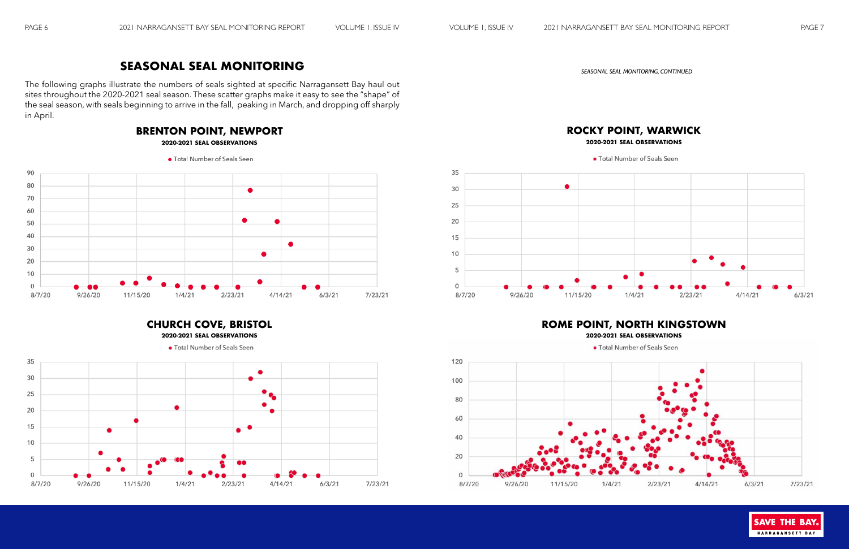# **SEASONAL SEAL MONITORING**

The following graphs illustrate the numbers of seals sighted at specific Narragansett Bay haul out sites throughout the 2020-2021 seal season. These scatter graphs make it easy to see the "shape" of the seal season, with seals beginning to arrive in the fall, peaking in March, and dropping off sharply in April.

*SEASONAL SEAL MONITORING, CONTINUED*

# **BRENTON POINT, NEWPORT**

**2020-2021 SEAL OBSERVATIONS**







**CHURCH COVE, BRISTOL**









# **ROME POINT, NORTH KINGSTOWN**

**2020-2021 SEAL OBSERVATIONS**

• Total Number of Seals Seen



# **ROCKY POINT, WARWICK 2020-2021 SEAL OBSERVATIONS**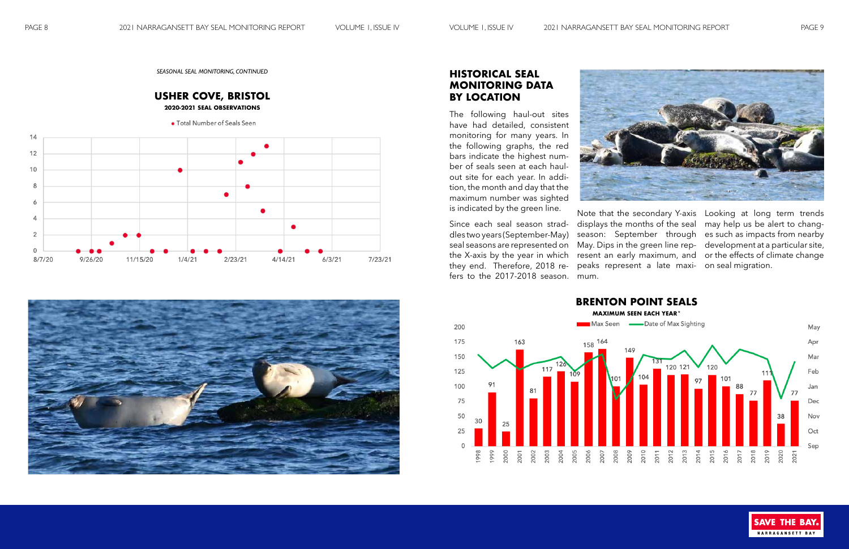*SEASONAL SEAL MONITORING, CONTINUED*





# **HISTORICAL SEAL MONITORING DATA BY LOCATION**

The following haul-out sites have had detailed, consistent monitoring for many years. In the following graphs, the red bars indicate the highest number of seals seen at each haulout site for each year. In addition, the month and day that the maximum number was sighted is indicated by the green line.

Since each seal season straddles two years (September-May) seal seasons are represented on the X-axis by the year in which they end. Therefore, 2018 refers to the 2017-2018 season.

Note that the secondary Y-axis Looking at long term trends displays the months of the seal may help us be alert to changpeaks represent a late maxi-on seal migration. mum.

season: September through es such as impacts from nearby May. Dips in the green line rep-development at a particular site, resent an early maximum, and or the effects of climate change

> **SAVE THE BAY** NARRAGANSETT BAY



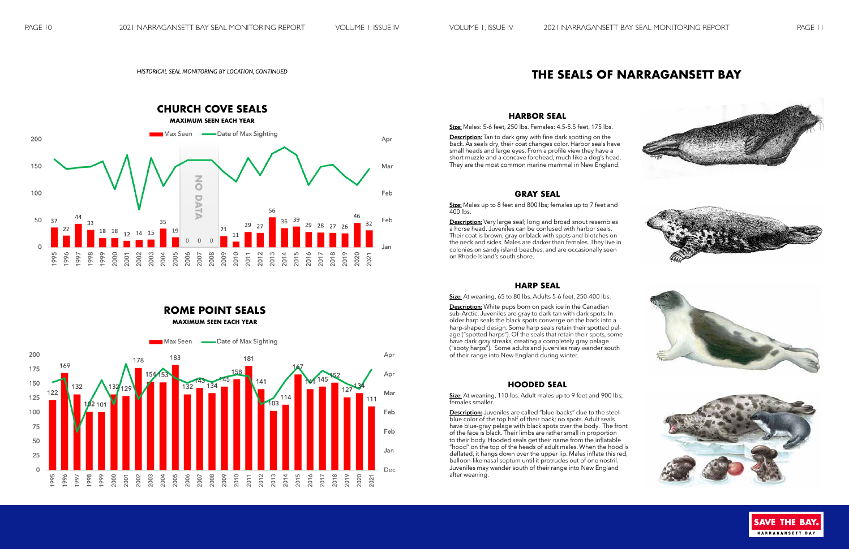# **THE SEALS OF NARRAGANSETT BAY Seals of Narragansett Bay THE SEALS OF NARR SEALS OF NARRAGE OF NARRAGE OF STATE**

#### *HISTORICAL SEAL MONITORING BY LOCATION, CONTINUED*

**ROME POINT SEALS**



#### **HARBOR SEAL DESCRIPTION:** Tan to date the data spotting on the data spotting on the data spotting on the data spotting on the data spotting on the data spotting on the data spotting on the data spotting on the data spotting on the sp

**HARBOR SEAL**<br><u>Size:</u> Males: 5-6 feet, 250 lbs. Females: 4.5-5.5 feet, 175 lbs. <u>Size:</u> Males: 5-6 feet, 250 lbs. Females: 4.5-5.5 feet, 175 lbs.

<u>Description:</u> Tan to dark gray with fine dark spotting on the **<u>Description:</u>** Tan to dark gray with fine dark spotting on the<br>back. As seals dry, their coat changes color. Harbor seals have<br>small heads and large eves. From a profile view they have a back. As seals dry, their coat changes color. Harbor seals have<br>small heads and large eyes. From a profile view they have a<br>short muzzle and a concave forehead, much like a dog's head. shining teads and large eyes. From a prollie view are y have a<br>short muzzle and a concave forehead, much like a dog's head.<br>They are the most common marine mammal in New England. They are the most common marine mammal in New England.<br>**They are the most common marine mammal** in New England.

### **GRAY SEAL**  $\begin{array}{c}\n\text{CDAV} \\
\text{CDAV} \\
\text{CFAI}\n\end{array}$ **Size:** Males up to 800 **GRAY SEAL**<br> **Description:** Very large seal; long and broad snowt resemble snowth resemble snowth resemble snowth resemble snowth

**SRAY SEAL**<br>Size: Males up to 8 feet and 800 lbs; females up to 7 feet and **400** lbs. **<u>Size:</u>** Males up to 8 feet and 800 lbs; females up to 7 feet and<br>400 lbs  $\mathbf{e}_{\mathbf{z}}$  iviales up to 8 feet and 800 ibs; females up to 7 feet and  $\mathbf{u}$ 

400 ibs.<br>**Description:** Very large seal; long and broad snout resembles<br>a horse head. Juveniles can be confused with harbor seals.<br>Their coat is brown, gray or black with spots and blotches on **Description:** Very large seal; long and broad snout resembles<br>a horse head. Juveniles can be confused with harbor seals. Their coat is brown, gray or black with spots and blotches on the neck and sides. Males are darker than females. They live in<br>colonies on sandy island beaches, and are occasionally seen colonies on sandy island beaches, and are occasionally seen colonies on sandy island beaches, and are occasionally seen<br>on Rhode Island's south shore. the neck and sides. Males are darker than females. They live in<br>colonies on sandy island beaches, and are occasionally seen<br>on Rhode Island's south shore.

## **HARP SEAL** blotter on the network and side of the new side sides. Males are data side than  $\mathbf{H}$

**HARP SEAL**<br>Size: At weaning, 65 to 80 lbs. Adults 5-6 feet, 250-400 lbs.

Size: At weaning, 65 to 80 lbs. Adults 5-6 feet, 250-400 lbs.<br>Description: White pups born on pack ice in the Canadian<br>he best control and the same with deviation of the control of the control of the control of the control **Description:** White pups born on pack ice in the Canadian<br>sub-Arctic. Juveniles are gray to dark tan with dark spots. In  $\frac{300 \text{ F}}{100 \text{ F}}$  and  $\frac{300 \text{ F}}{100 \text{ F}}$  and  $\frac{300 \text{ F}}{100 \text{ F}}$  and  $\frac{300 \text{ F}}{100 \text{ F}}$  and  $\frac{300 \text{ F}}{100 \text{ F}}$  and  $\frac{300 \text{ F}}{100 \text{ F}}$  and  $\frac{300 \text{ F}}{100 \text{ F}}$  and  $\frac{300 \text{ F}}{100 \text{ F}}$  and  $\frac{3$ harp-shaped design. Some harp seals retain their spotted pelnarp-shaped design. Some harp seals retain their spotted pei-<br>age ("spotted harps"). Of the seals that retain their spots, some age ("spotted harps"). Of the seals that retain their spots, some<br>have dark gray streaks, creating a completely gray pelage<br>("sooty barns"). Some adults and inveniles may wander south have dark gray streaks, creating a completely gray pelage<br>("sooty harps"). Some adults and juveniles may wander south<br>of their range into New England during winter ("sooty harps"). Some adults and juveniles may wander south<br>of their range into New England during winter. In older harp seals the black spots converge on the back **Sub-Arctic.** Juveniles are gray to dark tan with dark spots. In or their range into New England during winter.

#### $H$ OODED SEAL pletely gray pelage ("sooty harps"). Some adults and juve-**HUUDED SEAL**

**HOODED SEAL**<br>**Size:** At weaning, 110 lbs. Adult males up to 9 feet and 900 lbs; females smaller. <u>Size:</u> At weaning, 110 lbs. Adult males up to 9 feet and 900 lbs;<br>females smaller.

females smaller.<br><mark>Description:</mark> Juveniles are called "blue-backs" due to the steel-<br>blue color of the top balf of their back: no spots. Adult seals blue color of the top half of their back; no spots. Adult seals blue-color of the top half of their back; ho spots. Adult seals<br>have blue-gray pelage with black spots over the body. The front have blue-gray pelage with black spots over the body. The front<br>of the face is black. Their limbs are rather small in proportion of the face is black. Their limbs are rather small in proportion<br>to their body. Hooded seals get their name from the inflatable Frood" on the top of the heads of adult malle non the imidiable<br>"blood" on the top of the heads of adult males. When the hood is<br>black spots and the black spots with black spots and the black spots and the black spots and nood on the top of the neads of adult males. When the hood is<br>deflated, it hangs down over the upper lip. Males inflate this red, deflated, it hangs down over the upper lip. Males inflate this red,<br>balloon like nasal septum until it protrudes out of one nostril. defiated, it hangs down over the upper lip. Males inflate this red,<br>balloon-like nasal septum until it protrudes out of one nostril.<br>Juveniles may wander south of their range into New England<br>after weaning after weaning. <u>Description:</u> Juveniles are called "blue-backs" due to the steel-<br>blue color of the top half of their back; no spots. Adult seals<br>have blue-gray pelage with black spots over the body. The front dier wedning. The face is black of the face is black. The face is black of the face is black. The face is black. The face is black of the face is black. The face is black of the face is the face in the face in the face is  $\epsilon$  their weaping.

steel

spots. Adult seals have blue